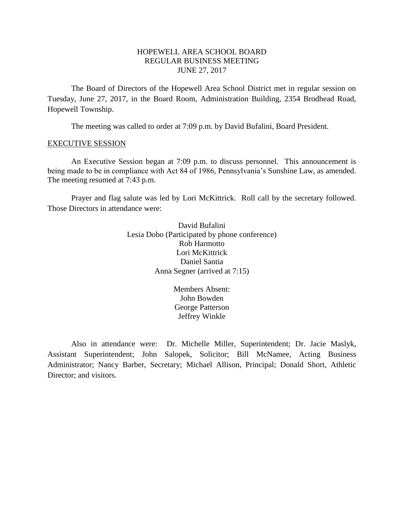# HOPEWELL AREA SCHOOL BOARD REGULAR BUSINESS MEETING JUNE 27, 2017

The Board of Directors of the Hopewell Area School District met in regular session on Tuesday, June 27, 2017, in the Board Room, Administration Building, 2354 Brodhead Road, Hopewell Township.

The meeting was called to order at 7:09 p.m. by David Bufalini, Board President.

#### EXECUTIVE SESSION

An Executive Session began at 7:09 p.m. to discuss personnel. This announcement is being made to be in compliance with Act 84 of 1986, Pennsylvania's Sunshine Law, as amended. The meeting resumed at 7:43 p.m.

Prayer and flag salute was led by Lori McKittrick. Roll call by the secretary followed. Those Directors in attendance were:

> David Bufalini Lesia Dobo (Participated by phone conference) Rob Harmotto Lori McKittrick Daniel Santia Anna Segner (arrived at 7:15)

> > Members Absent: John Bowden George Patterson Jeffrey Winkle

Also in attendance were: Dr. Michelle Miller, Superintendent; Dr. Jacie Maslyk, Assistant Superintendent; John Salopek, Solicitor; Bill McNamee, Acting Business Administrator; Nancy Barber, Secretary; Michael Allison, Principal; Donald Short, Athletic Director; and visitors.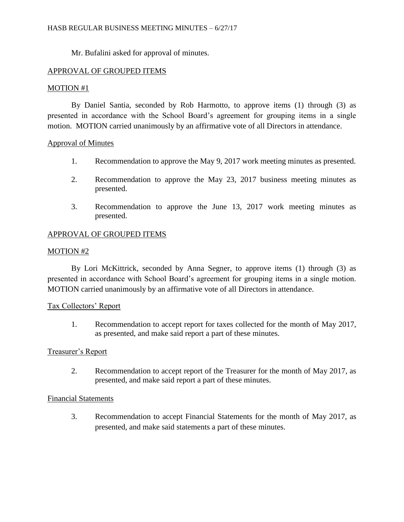Mr. Bufalini asked for approval of minutes.

# APPROVAL OF GROUPED ITEMS

## MOTION #1

By Daniel Santia, seconded by Rob Harmotto, to approve items (1) through (3) as presented in accordance with the School Board's agreement for grouping items in a single motion. MOTION carried unanimously by an affirmative vote of all Directors in attendance.

## Approval of Minutes

- 1. Recommendation to approve the May 9, 2017 work meeting minutes as presented.
- 2. Recommendation to approve the May 23, 2017 business meeting minutes as presented.
- 3. Recommendation to approve the June 13, 2017 work meeting minutes as presented.

## APPROVAL OF GROUPED ITEMS

## MOTION #2

By Lori McKittrick, seconded by Anna Segner, to approve items (1) through (3) as presented in accordance with School Board's agreement for grouping items in a single motion. MOTION carried unanimously by an affirmative vote of all Directors in attendance.

## Tax Collectors' Report

1. Recommendation to accept report for taxes collected for the month of May 2017, as presented, and make said report a part of these minutes.

## Treasurer's Report

2. Recommendation to accept report of the Treasurer for the month of May 2017, as presented, and make said report a part of these minutes.

## Financial Statements

3. Recommendation to accept Financial Statements for the month of May 2017, as presented, and make said statements a part of these minutes.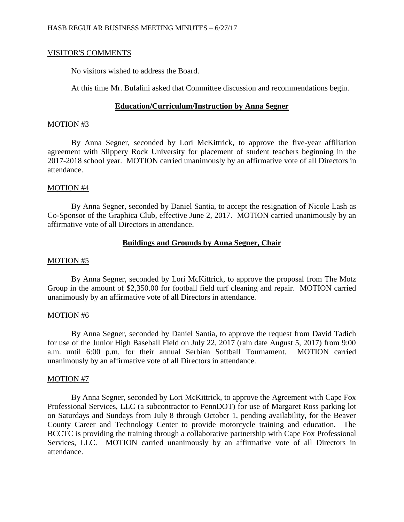### VISITOR'S COMMENTS

No visitors wished to address the Board.

At this time Mr. Bufalini asked that Committee discussion and recommendations begin.

## **Education/Curriculum/Instruction by Anna Segner**

### MOTION #3

By Anna Segner, seconded by Lori McKittrick, to approve the five-year affiliation agreement with Slippery Rock University for placement of student teachers beginning in the 2017-2018 school year. MOTION carried unanimously by an affirmative vote of all Directors in attendance.

### MOTION #4

By Anna Segner, seconded by Daniel Santia, to accept the resignation of Nicole Lash as Co-Sponsor of the Graphica Club, effective June 2, 2017. MOTION carried unanimously by an affirmative vote of all Directors in attendance.

## **Buildings and Grounds by Anna Segner, Chair**

### MOTION #5

By Anna Segner, seconded by Lori McKittrick, to approve the proposal from The Motz Group in the amount of \$2,350.00 for football field turf cleaning and repair. MOTION carried unanimously by an affirmative vote of all Directors in attendance.

### MOTION #6

By Anna Segner, seconded by Daniel Santia, to approve the request from David Tadich for use of the Junior High Baseball Field on July 22, 2017 (rain date August 5, 2017) from 9:00 a.m. until 6:00 p.m. for their annual Serbian Softball Tournament. MOTION carried unanimously by an affirmative vote of all Directors in attendance.

### MOTION #7

By Anna Segner, seconded by Lori McKittrick, to approve the Agreement with Cape Fox Professional Services, LLC (a subcontractor to PennDOT) for use of Margaret Ross parking lot on Saturdays and Sundays from July 8 through October 1, pending availability, for the Beaver County Career and Technology Center to provide motorcycle training and education. The BCCTC is providing the training through a collaborative partnership with Cape Fox Professional Services, LLC. MOTION carried unanimously by an affirmative vote of all Directors in attendance.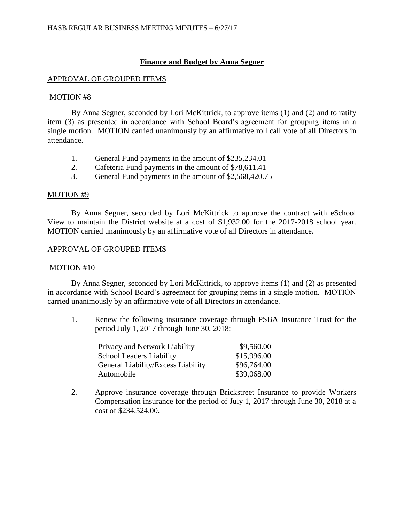# **Finance and Budget by Anna Segner**

### APPROVAL OF GROUPED ITEMS

### MOTION #8

By Anna Segner, seconded by Lori McKittrick, to approve items (1) and (2) and to ratify item (3) as presented in accordance with School Board's agreement for grouping items in a single motion. MOTION carried unanimously by an affirmative roll call vote of all Directors in attendance.

- 1. General Fund payments in the amount of \$235,234.01
- 2. Cafeteria Fund payments in the amount of \$78,611.41
- 3. General Fund payments in the amount of \$2,568,420.75

## MOTION #9

By Anna Segner, seconded by Lori McKittrick to approve the contract with eSchool View to maintain the District website at a cost of \$1,932.00 for the 2017-2018 school year. MOTION carried unanimously by an affirmative vote of all Directors in attendance.

## APPROVAL OF GROUPED ITEMS

### MOTION #10

By Anna Segner, seconded by Lori McKittrick, to approve items (1) and (2) as presented in accordance with School Board's agreement for grouping items in a single motion. MOTION carried unanimously by an affirmative vote of all Directors in attendance.

1. Renew the following insurance coverage through PSBA Insurance Trust for the period July 1, 2017 through June 30, 2018:

| Privacy and Network Liability      | \$9,560.00  |
|------------------------------------|-------------|
| <b>School Leaders Liability</b>    | \$15,996.00 |
| General Liability/Excess Liability | \$96,764.00 |
| Automobile                         | \$39,068.00 |

2. Approve insurance coverage through Brickstreet Insurance to provide Workers Compensation insurance for the period of July 1, 2017 through June 30, 2018 at a cost of \$234,524.00.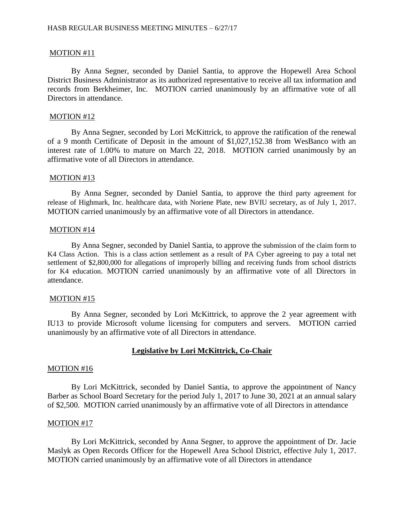### MOTION #11

By Anna Segner, seconded by Daniel Santia, to approve the Hopewell Area School District Business Administrator as its authorized representative to receive all tax information and records from Berkheimer, Inc. MOTION carried unanimously by an affirmative vote of all Directors in attendance.

#### MOTION #12

By Anna Segner, seconded by Lori McKittrick, to approve the ratification of the renewal of a 9 month Certificate of Deposit in the amount of \$1,027,152.38 from WesBanco with an interest rate of 1.00% to mature on March 22, 2018. MOTION carried unanimously by an affirmative vote of all Directors in attendance.

#### MOTION #13

By Anna Segner, seconded by Daniel Santia, to approve the third party agreement for release of Highmark, Inc. healthcare data, with Noriene Plate, new BVIU secretary, as of July 1, 2017. MOTION carried unanimously by an affirmative vote of all Directors in attendance.

#### MOTION #14

By Anna Segner, seconded by Daniel Santia, to approve the submission of the claim form to K4 Class Action. This is a class action settlement as a result of PA Cyber agreeing to pay a total net settlement of \$2,800,000 for allegations of improperly billing and receiving funds from school districts for K4 education. MOTION carried unanimously by an affirmative vote of all Directors in attendance.

#### MOTION #15

By Anna Segner, seconded by Lori McKittrick, to approve the 2 year agreement with IU13 to provide Microsoft volume licensing for computers and servers. MOTION carried unanimously by an affirmative vote of all Directors in attendance.

### **Legislative by Lori McKittrick, Co-Chair**

#### MOTION #16

By Lori McKittrick, seconded by Daniel Santia, to approve the appointment of Nancy Barber as School Board Secretary for the period July 1, 2017 to June 30, 2021 at an annual salary of \$2,500. MOTION carried unanimously by an affirmative vote of all Directors in attendance

#### MOTION #17

By Lori McKittrick, seconded by Anna Segner, to approve the appointment of Dr. Jacie Maslyk as Open Records Officer for the Hopewell Area School District, effective July 1, 2017. MOTION carried unanimously by an affirmative vote of all Directors in attendance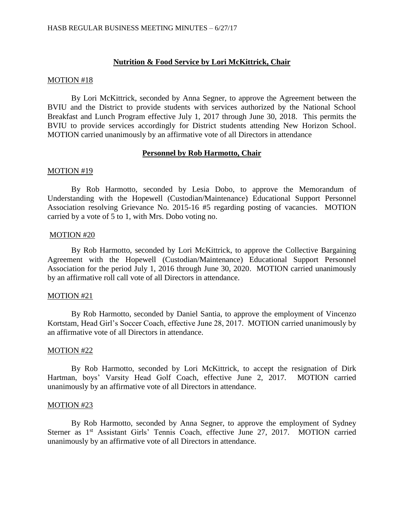## **Nutrition & Food Service by Lori McKittrick, Chair**

### MOTION #18

By Lori McKittrick, seconded by Anna Segner, to approve the Agreement between the BVIU and the District to provide students with services authorized by the National School Breakfast and Lunch Program effective July 1, 2017 through June 30, 2018. This permits the BVIU to provide services accordingly for District students attending New Horizon School. MOTION carried unanimously by an affirmative vote of all Directors in attendance

### **Personnel by Rob Harmotto, Chair**

### MOTION #19

By Rob Harmotto, seconded by Lesia Dobo, to approve the Memorandum of Understanding with the Hopewell (Custodian/Maintenance) Educational Support Personnel Association resolving Grievance No. 2015-16 #5 regarding posting of vacancies. MOTION carried by a vote of 5 to 1, with Mrs. Dobo voting no.

### MOTION #20

By Rob Harmotto, seconded by Lori McKittrick, to approve the Collective Bargaining Agreement with the Hopewell (Custodian/Maintenance) Educational Support Personnel Association for the period July 1, 2016 through June 30, 2020. MOTION carried unanimously by an affirmative roll call vote of all Directors in attendance.

### MOTION #21

By Rob Harmotto, seconded by Daniel Santia, to approve the employment of Vincenzo Kortstam, Head Girl's Soccer Coach, effective June 28, 2017. MOTION carried unanimously by an affirmative vote of all Directors in attendance.

### MOTION #22

By Rob Harmotto, seconded by Lori McKittrick, to accept the resignation of Dirk Hartman, boys' Varsity Head Golf Coach, effective June 2, 2017. MOTION carried unanimously by an affirmative vote of all Directors in attendance.

### MOTION #23

By Rob Harmotto, seconded by Anna Segner, to approve the employment of Sydney Sterner as 1<sup>st</sup> Assistant Girls' Tennis Coach, effective June 27, 2017. MOTION carried unanimously by an affirmative vote of all Directors in attendance.